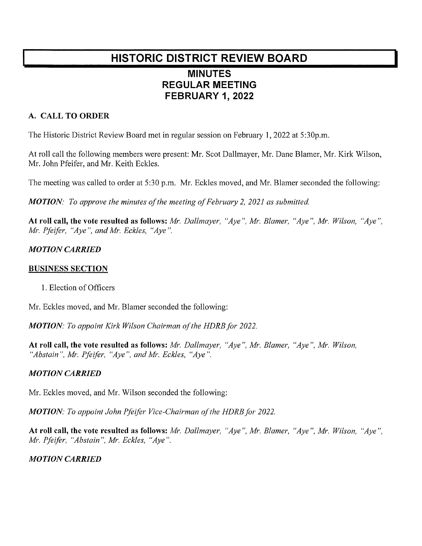# HISTORIC DISTRICT REVIEW BOARD MINUTES **REGULAR MEETING** FEBRUARY 1,2022

## A. CALL TO ORDER

The Historic District Review Board met in regular session on February 1, 2022 at 5:30p.m.

At roll call the following members were present: Mr. Scot Dallmayer, Mr. Dane Blamer, Mr. Kirk Wilson, Mr. John Pfeifer, and Mr. Keith Eckles.

The meeting was called to order at 5:30 p.m. Mr. Eckles moved, and Mr. Blamer seconded the following:

**MOTION:** To approve the minutes of the meeting of February 2, 2021 as submitted.

At roll call, the vote resulted as follows: Mr. Dallmayer, "Aye", Mr. Blamer, "Aye", Mr. Wilson, "Aye",  $Mr.$  Pfeifer, "Aye", and Mr. Eckles, "Aye".

### **MOTION CARRIED**

#### **BUSINESS SECTION**

1. Election of Officers

Mr. Eckles moved, and Mr. Blamer seconded the following:

MOTION: To appoint Kirk Wilson Chairman of the HDRB for 2022.

At roll call, the vote resulted as follows: Mr. Dallmayer, "Aye", Mr. Blamer, "Aye", Mr. Wilson, "Abstain", Mr. Pfeifer, "Aye", and Mr. Eckles, "Aye".

### **MOTION CARRIED**

Mr. Eckles moved, and Mr. Wilson seconded the following:

**MOTION:** To appoint John Pfeifer Vice-Chairman of the HDRB for 2022.

At roll call, the vote resulted as follows: Mr. Dallmayer, "Aye", Mr. Blamer, "Aye", Mr. Wilson, "Aye", Mr. Pfeifer, "Abstain", Mr. Eckles, "Aye".

### **MOTION CARRIED**